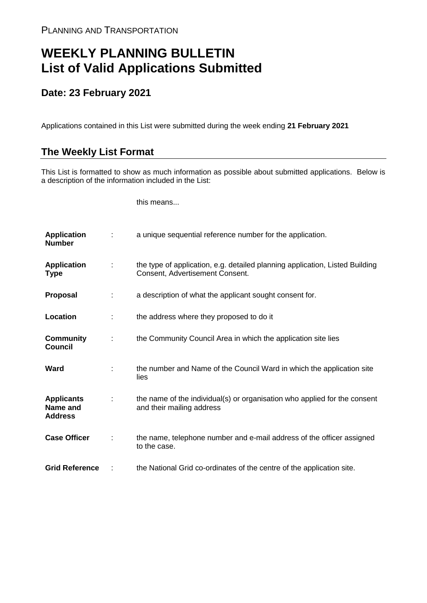## **WEEKLY PLANNING BULLETIN List of Valid Applications Submitted**

## **Date: 23 February 2021**

Applications contained in this List were submitted during the week ending **21 February 2021**

## **The Weekly List Format**

This List is formatted to show as much information as possible about submitted applications. Below is a description of the information included in the List:

this means...

| <b>Application</b><br><b>Number</b>             |   | a unique sequential reference number for the application.                                                       |
|-------------------------------------------------|---|-----------------------------------------------------------------------------------------------------------------|
| <b>Application</b><br>Type                      | ÷ | the type of application, e.g. detailed planning application, Listed Building<br>Consent, Advertisement Consent. |
| <b>Proposal</b>                                 |   | a description of what the applicant sought consent for.                                                         |
| Location                                        |   | the address where they proposed to do it                                                                        |
| <b>Community</b><br><b>Council</b>              |   | the Community Council Area in which the application site lies                                                   |
| Ward                                            |   | the number and Name of the Council Ward in which the application site<br>lies                                   |
| <b>Applicants</b><br>Name and<br><b>Address</b> |   | the name of the individual(s) or organisation who applied for the consent<br>and their mailing address          |
| <b>Case Officer</b>                             |   | the name, telephone number and e-mail address of the officer assigned<br>to the case.                           |
| <b>Grid Reference</b>                           |   | the National Grid co-ordinates of the centre of the application site.                                           |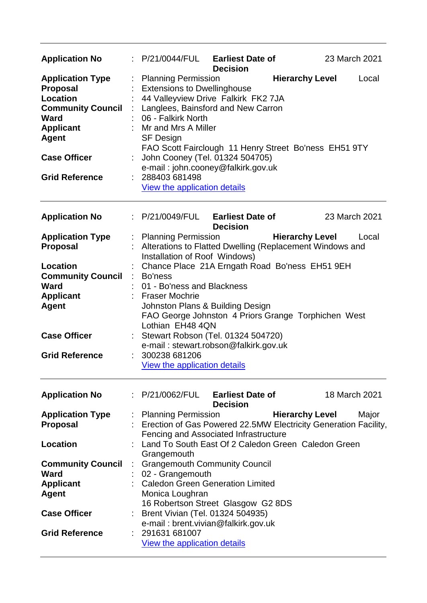| <b>Application No</b>                                                                                                                                                          | : P/21/0044/FUL Earliest Date of                                                                                                                                                   | <b>Decision</b>                                                                                                                                                                                                          |                        | 23 March 2021 |
|--------------------------------------------------------------------------------------------------------------------------------------------------------------------------------|------------------------------------------------------------------------------------------------------------------------------------------------------------------------------------|--------------------------------------------------------------------------------------------------------------------------------------------------------------------------------------------------------------------------|------------------------|---------------|
| <b>Application Type</b><br><b>Proposal</b><br>Location<br><b>Community Council</b><br>Ward<br><b>Applicant</b><br><b>Agent</b><br><b>Case Officer</b><br><b>Grid Reference</b> | <b>Planning Permission</b><br><b>Extensions to Dwellinghouse</b><br>06 - Falkirk North<br>Mr and Mrs A Miller<br><b>SF Design</b><br>288403 681498<br>View the application details | 44 Valleyview Drive Falkirk FK2 7JA<br>Langlees, Bainsford and New Carron<br>FAO Scott Fairclough 11 Henry Street Bo'ness EH51 9TY<br>John Cooney (Tel. 01324 504705)<br>e-mail: john.cooney@falkirk.gov.uk              | <b>Hierarchy Level</b> | Local         |
| <b>Application No</b>                                                                                                                                                          | : P/21/0049/FUL                                                                                                                                                                    | <b>Earliest Date of</b><br><b>Decision</b>                                                                                                                                                                               |                        | 23 March 2021 |
| <b>Application Type</b><br><b>Proposal</b>                                                                                                                                     | : Planning Permission<br>Installation of Roof Windows)                                                                                                                             | Alterations to Flatted Dwelling (Replacement Windows and                                                                                                                                                                 | <b>Hierarchy Level</b> | Local         |
| <b>Location</b><br><b>Community Council</b><br><b>Ward</b><br><b>Applicant</b><br><b>Agent</b><br><b>Case Officer</b><br><b>Grid Reference</b>                                 | Bo'ness<br>01 - Bo'ness and Blackness<br><b>Fraser Mochrie</b><br>Lothian EH48 4QN<br>300238 681206<br><b>View the application details</b>                                         | Chance Place 21A Erngath Road Bo'ness EH51 9EH<br>Johnston Plans & Building Design<br>FAO George Johnston 4 Priors Grange Torphichen West<br>Stewart Robson (Tel. 01324 504720)<br>e-mail: stewart.robson@falkirk.gov.uk |                        |               |
| <b>Application No</b>                                                                                                                                                          | : P/21/0062/FUL Earliest Date of                                                                                                                                                   | <b>Decision</b>                                                                                                                                                                                                          |                        | 18 March 2021 |
| <b>Application Type</b><br><b>Proposal</b>                                                                                                                                     | <b>Planning Permission</b>                                                                                                                                                         | Erection of Gas Powered 22.5MW Electricity Generation Facility,<br>Fencing and Associated Infrastructure                                                                                                                 | <b>Hierarchy Level</b> | Major         |
| <b>Location</b>                                                                                                                                                                | Grangemouth                                                                                                                                                                        | Land To South East Of 2 Caledon Green Caledon Green                                                                                                                                                                      |                        |               |
| <b>Community Council</b><br><b>Ward</b><br><b>Applicant</b><br><b>Agent</b>                                                                                                    | 02 - Grangemouth<br>Monica Loughran                                                                                                                                                | <b>Grangemouth Community Council</b><br><b>Caledon Green Generation Limited</b><br>16 Robertson Street Glasgow G2 8DS                                                                                                    |                        |               |
| <b>Case Officer</b><br><b>Grid Reference</b>                                                                                                                                   | 291631 681007<br><b>View the application details</b>                                                                                                                               | Brent Vivian (Tel. 01324 504935)<br>e-mail: brent.vivian@falkirk.gov.uk                                                                                                                                                  |                        |               |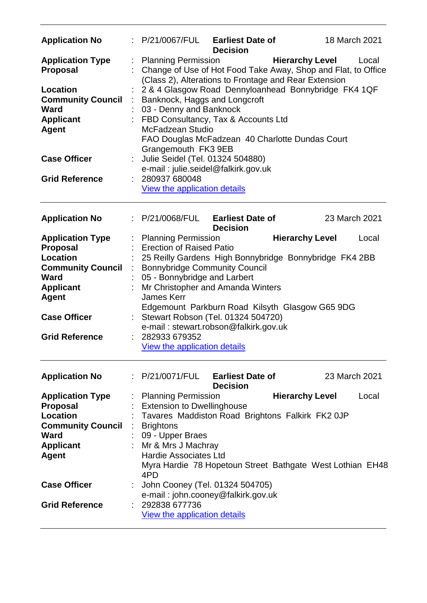| <b>Application No</b>               |    | : P/21/0067/FUL Earliest Date of                                                    | <b>Decision</b>                            |                        | 18 March 2021                                                          |  |
|-------------------------------------|----|-------------------------------------------------------------------------------------|--------------------------------------------|------------------------|------------------------------------------------------------------------|--|
| <b>Application Type</b><br>Proposal |    | <b>Planning Permission</b><br>(Class 2), Alterations to Frontage and Rear Extension |                                            | <b>Hierarchy Level</b> | Local<br>Change of Use of Hot Food Take Away, Shop and Flat, to Office |  |
| <b>Location</b>                     |    | 2 & 4 Glasgow Road Dennyloanhead Bonnybridge FK4 1QF                                |                                            |                        |                                                                        |  |
| <b>Community Council</b>            | ÷. | Banknock, Haggs and Longcroft                                                       |                                            |                        |                                                                        |  |
| Ward                                |    | 03 - Denny and Banknock                                                             |                                            |                        |                                                                        |  |
| <b>Applicant</b>                    |    | FBD Consultancy, Tax & Accounts Ltd                                                 |                                            |                        |                                                                        |  |
| <b>Agent</b>                        |    | <b>McFadzean Studio</b>                                                             |                                            |                        |                                                                        |  |
|                                     |    | FAO Douglas McFadzean 40 Charlotte Dundas Court                                     |                                            |                        |                                                                        |  |
|                                     |    | Grangemouth FK3 9EB                                                                 |                                            |                        |                                                                        |  |
| <b>Case Officer</b>                 |    | Julie Seidel (Tel. 01324 504880)                                                    |                                            |                        |                                                                        |  |
| <b>Grid Reference</b>               |    | e-mail: julie.seidel@falkirk.gov.uk<br>: 280937680048                               |                                            |                        |                                                                        |  |
|                                     |    | View the application details                                                        |                                            |                        |                                                                        |  |
|                                     |    |                                                                                     |                                            |                        |                                                                        |  |
| <b>Application No</b>               |    | : P/21/0068/FUL                                                                     | <b>Earliest Date of</b><br><b>Decision</b> |                        | 23 March 2021                                                          |  |
| <b>Application Type</b>             |    | : Planning Permission                                                               |                                            | <b>Hierarchy Level</b> | Local                                                                  |  |
| <b>Proposal</b>                     |    | <b>Erection of Raised Patio</b>                                                     |                                            |                        |                                                                        |  |
| Location                            |    | 25 Reilly Gardens High Bonnybridge Bonnybridge FK4 2BB                              |                                            |                        |                                                                        |  |
| <b>Community Council</b>            | ÷. | <b>Bonnybridge Community Council</b>                                                |                                            |                        |                                                                        |  |
| <b>Ward</b>                         |    | 05 - Bonnybridge and Larbert                                                        |                                            |                        |                                                                        |  |
| <b>Applicant</b>                    |    |                                                                                     |                                            |                        |                                                                        |  |
| <b>Agent</b>                        |    | Mr Christopher and Amanda Winters<br>James Kerr                                     |                                            |                        |                                                                        |  |
|                                     |    | Edgemount Parkburn Road Kilsyth Glasgow G65 9DG                                     |                                            |                        |                                                                        |  |
| <b>Case Officer</b>                 |    | Stewart Robson (Tel. 01324 504720)                                                  |                                            |                        |                                                                        |  |
|                                     |    | e-mail: stewart.robson@falkirk.gov.uk                                               |                                            |                        |                                                                        |  |
| <b>Grid Reference</b>               |    | 282933 679352                                                                       |                                            |                        |                                                                        |  |
|                                     |    | <b>View the application details</b>                                                 |                                            |                        |                                                                        |  |
| <b>Application No</b>               |    | : P/21/0071/FUL                                                                     | <b>Earliest Date of</b>                    |                        | 23 March 2021                                                          |  |
|                                     |    |                                                                                     | <b>Decision</b>                            |                        |                                                                        |  |
| <b>Application Type</b>             |    | <b>Planning Permission</b>                                                          |                                            | <b>Hierarchy Level</b> | Local                                                                  |  |
| <b>Proposal</b>                     |    | <b>Extension to Dwellinghouse</b>                                                   |                                            |                        |                                                                        |  |
| <b>Location</b>                     |    | Tavares Maddiston Road Brightons Falkirk FK2 0JP                                    |                                            |                        |                                                                        |  |
| <b>Community Council</b>            |    | <b>Brightons</b>                                                                    |                                            |                        |                                                                        |  |
| <b>Ward</b>                         |    | 09 - Upper Braes                                                                    |                                            |                        |                                                                        |  |
| <b>Applicant</b>                    |    | Mr & Mrs J Machray                                                                  |                                            |                        |                                                                        |  |
| <b>Agent</b>                        |    | <b>Hardie Associates Ltd</b>                                                        |                                            |                        |                                                                        |  |
|                                     |    |                                                                                     |                                            |                        | Myra Hardie 78 Hopetoun Street Bathgate West Lothian EH48              |  |
| <b>Case Officer</b>                 |    | 4PD                                                                                 |                                            |                        |                                                                        |  |
|                                     |    | John Cooney (Tel. 01324 504705)<br>e-mail: john.cooney@falkirk.gov.uk               |                                            |                        |                                                                        |  |
| <b>Grid Reference</b>               |    | 292838 677736                                                                       |                                            |                        |                                                                        |  |
|                                     |    | View the application details                                                        |                                            |                        |                                                                        |  |
|                                     |    |                                                                                     |                                            |                        |                                                                        |  |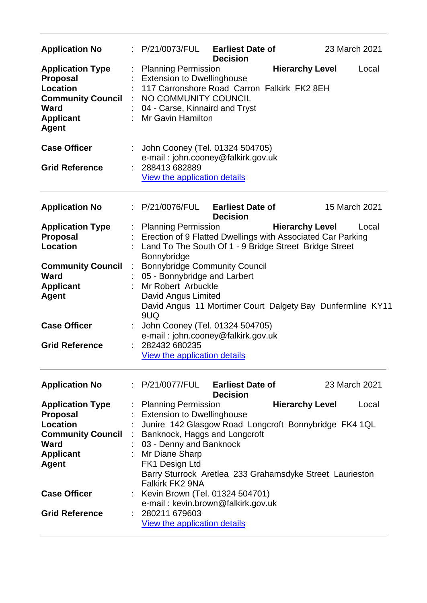| <b>Application No</b>                                                                                                                 | P/21/0073/FUL                                                                                                                                                                                        | <b>Earliest Date of</b><br><b>Decision</b> |                        | 23 March 2021 |       |
|---------------------------------------------------------------------------------------------------------------------------------------|------------------------------------------------------------------------------------------------------------------------------------------------------------------------------------------------------|--------------------------------------------|------------------------|---------------|-------|
| <b>Application Type</b><br>Proposal<br><b>Location</b><br><b>Community Council</b><br><b>Ward</b><br><b>Applicant</b><br><b>Agent</b> | <b>Planning Permission</b><br><b>Extension to Dwellinghouse</b><br>117 Carronshore Road Carron Falkirk FK2 8EH<br>NO COMMUNITY COUNCIL<br>04 - Carse, Kinnaird and Tryst<br><b>Mr Gavin Hamilton</b> |                                            | <b>Hierarchy Level</b> |               | Local |
| <b>Case Officer</b>                                                                                                                   | John Cooney (Tel. 01324 504705)<br>e-mail: john.cooney@falkirk.gov.uk                                                                                                                                |                                            |                        |               |       |
| <b>Grid Reference</b>                                                                                                                 | 288413682889<br><b>View the application details</b>                                                                                                                                                  |                                            |                        |               |       |
| <b>Application No</b>                                                                                                                 | : P/21/0076/FUL Earliest Date of                                                                                                                                                                     | <b>Decision</b>                            |                        | 15 March 2021 |       |
| <b>Application Type</b>                                                                                                               | : Planning Permission                                                                                                                                                                                |                                            | <b>Hierarchy Level</b> |               | Local |
| <b>Proposal</b>                                                                                                                       | Erection of 9 Flatted Dwellings with Associated Car Parking                                                                                                                                          |                                            |                        |               |       |
| <b>Location</b>                                                                                                                       | Land To The South Of 1 - 9 Bridge Street Bridge Street                                                                                                                                               |                                            |                        |               |       |
|                                                                                                                                       | Bonnybridge                                                                                                                                                                                          |                                            |                        |               |       |
| <b>Community Council</b>                                                                                                              | <b>Bonnybridge Community Council</b>                                                                                                                                                                 |                                            |                        |               |       |
| <b>Ward</b>                                                                                                                           | 05 - Bonnybridge and Larbert                                                                                                                                                                         |                                            |                        |               |       |
| <b>Applicant</b>                                                                                                                      | Mr Robert Arbuckle                                                                                                                                                                                   |                                            |                        |               |       |
| <b>Agent</b>                                                                                                                          | David Angus Limited                                                                                                                                                                                  |                                            |                        |               |       |
|                                                                                                                                       | David Angus 11 Mortimer Court Dalgety Bay Dunfermline KY11<br>9UQ                                                                                                                                    |                                            |                        |               |       |
| <b>Case Officer</b>                                                                                                                   | John Cooney (Tel. 01324 504705)<br>e-mail: john.cooney@falkirk.gov.uk                                                                                                                                |                                            |                        |               |       |
| <b>Grid Reference</b>                                                                                                                 | 282432 680235                                                                                                                                                                                        |                                            |                        |               |       |
|                                                                                                                                       | View the application details                                                                                                                                                                         |                                            |                        |               |       |
| <b>Application No</b>                                                                                                                 | : P/21/0077/FUL                                                                                                                                                                                      | <b>Earliest Date of</b>                    |                        | 23 March 2021 |       |
|                                                                                                                                       |                                                                                                                                                                                                      | <b>Decision</b>                            |                        |               |       |
| <b>Application Type</b>                                                                                                               | <b>Planning Permission</b>                                                                                                                                                                           |                                            | <b>Hierarchy Level</b> |               | Local |
| <b>Proposal</b>                                                                                                                       | <b>Extension to Dwellinghouse</b>                                                                                                                                                                    |                                            |                        |               |       |
| <b>Location</b>                                                                                                                       | Junire 142 Glasgow Road Longcroft Bonnybridge FK4 1QL                                                                                                                                                |                                            |                        |               |       |
| <b>Community Council</b>                                                                                                              | Banknock, Haggs and Longcroft                                                                                                                                                                        |                                            |                        |               |       |
| <b>Ward</b>                                                                                                                           | 03 - Denny and Banknock                                                                                                                                                                              |                                            |                        |               |       |
| <b>Applicant</b>                                                                                                                      | : Mr Diane Sharp                                                                                                                                                                                     |                                            |                        |               |       |
| <b>Agent</b>                                                                                                                          | FK1 Design Ltd                                                                                                                                                                                       |                                            |                        |               |       |
|                                                                                                                                       | Barry Sturrock Aretlea 233 Grahamsdyke Street Laurieston<br><b>Falkirk FK2 9NA</b>                                                                                                                   |                                            |                        |               |       |
| <b>Case Officer</b>                                                                                                                   | : Kevin Brown (Tel. 01324 504701)                                                                                                                                                                    |                                            |                        |               |       |
|                                                                                                                                       | e-mail: kevin.brown@falkirk.gov.uk                                                                                                                                                                   |                                            |                        |               |       |
| <b>Grid Reference</b>                                                                                                                 | : 280211 679603                                                                                                                                                                                      |                                            |                        |               |       |
|                                                                                                                                       | View the application details                                                                                                                                                                         |                                            |                        |               |       |
|                                                                                                                                       |                                                                                                                                                                                                      |                                            |                        |               |       |